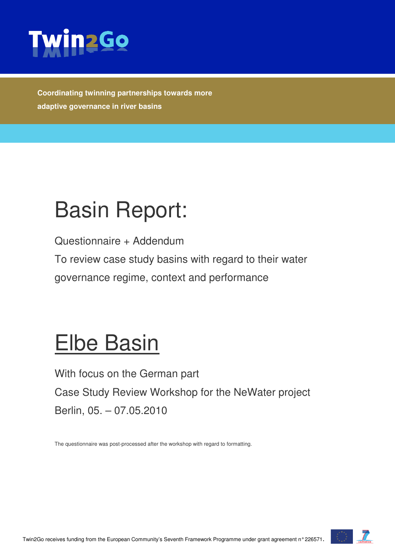

**Coordinating twinning partnerships towards more adaptive governance in river basins** 

# Basin Report:

Questionnaire + Addendum

To review case study basins with regard to their water governance regime, context and performance

## Elbe Basin

With focus on the German part Case Study Review Workshop for the NeWater project Berlin, 05. – 07.05.2010

The questionnaire was post-processed after the workshop with regard to formatting.

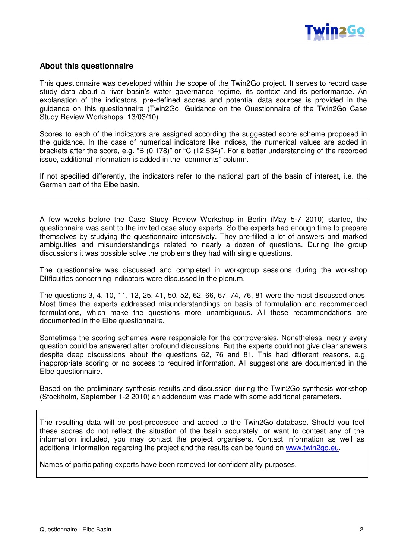#### **About this questionnaire**

This questionnaire was developed within the scope of the Twin2Go project. It serves to record case study data about a river basin's water governance regime, its context and its performance. An explanation of the indicators, pre-defined scores and potential data sources is provided in the guidance on this questionnaire (Twin2Go, Guidance on the Questionnaire of the Twin2Go Case Study Review Workshops. 13/03/10).

Scores to each of the indicators are assigned according the suggested score scheme proposed in the guidance. In the case of numerical indicators like indices, the numerical values are added in brackets after the score, e.g. "B (0.178)" or "C (12,534)". For a better understanding of the recorded issue, additional information is added in the "comments" column.

If not specified differently, the indicators refer to the national part of the basin of interest, i.e. the German part of the Elbe basin.

A few weeks before the Case Study Review Workshop in Berlin (May 5-7 2010) started, the questionnaire was sent to the invited case study experts. So the experts had enough time to prepare themselves by studying the questionnaire intensively. They pre-filled a lot of answers and marked ambiguities and misunderstandings related to nearly a dozen of questions. During the group discussions it was possible solve the problems they had with single questions.

The questionnaire was discussed and completed in workgroup sessions during the workshop Difficulties concerning indicators were discussed in the plenum.

The questions 3, 4, 10, 11, 12, 25, 41, 50, 52, 62, 66, 67, 74, 76, 81 were the most discussed ones. Most times the experts addressed misunderstandings on basis of formulation and recommended formulations, which make the questions more unambiguous. All these recommendations are documented in the Elbe questionnaire.

Sometimes the scoring schemes were responsible for the controversies. Nonetheless, nearly every question could be answered after profound discussions. But the experts could not give clear answers despite deep discussions about the questions 62, 76 and 81. This had different reasons, e.g. inappropriate scoring or no access to required information. All suggestions are documented in the Elbe questionnaire.

Based on the preliminary synthesis results and discussion during the Twin2Go synthesis workshop (Stockholm, September 1-2 2010) an addendum was made with some additional parameters.

The resulting data will be post-processed and added to the Twin2Go database. Should you feel these scores do not reflect the situation of the basin accurately, or want to contest any of the information included, you may contact the project organisers. Contact information as well as additional information regarding the project and the results can be found on www.twin2go.eu.

Names of participating experts have been removed for confidentiality purposes.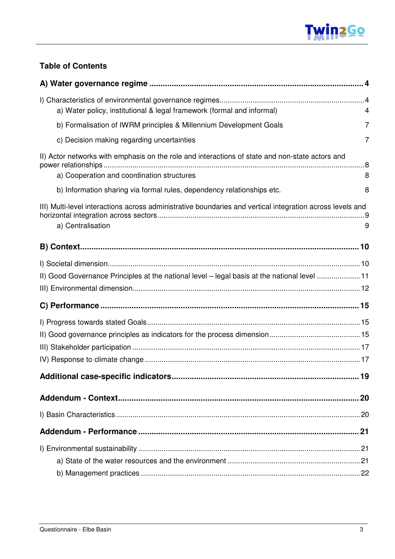

#### **Table of Contents**

| a) Water policy, institutional & legal framework (formal and informal)                                                                        | 4 |
|-----------------------------------------------------------------------------------------------------------------------------------------------|---|
| b) Formalisation of IWRM principles & Millennium Development Goals                                                                            | 7 |
| c) Decision making regarding uncertainties                                                                                                    | 7 |
| II) Actor networks with emphasis on the role and interactions of state and non-state actors and<br>a) Cooperation and coordination structures | 8 |
| b) Information sharing via formal rules, dependency relationships etc.                                                                        | 8 |
| III) Multi-level interactions across administrative boundaries and vertical integration across levels and<br>a) Centralisation                | 9 |
|                                                                                                                                               |   |
|                                                                                                                                               |   |
| II) Good Governance Principles at the national level - legal basis at the national level 11                                                   |   |
|                                                                                                                                               |   |
|                                                                                                                                               |   |
|                                                                                                                                               |   |
|                                                                                                                                               |   |
|                                                                                                                                               |   |
|                                                                                                                                               |   |
|                                                                                                                                               |   |
|                                                                                                                                               |   |
|                                                                                                                                               |   |
|                                                                                                                                               |   |
|                                                                                                                                               |   |
|                                                                                                                                               |   |
|                                                                                                                                               |   |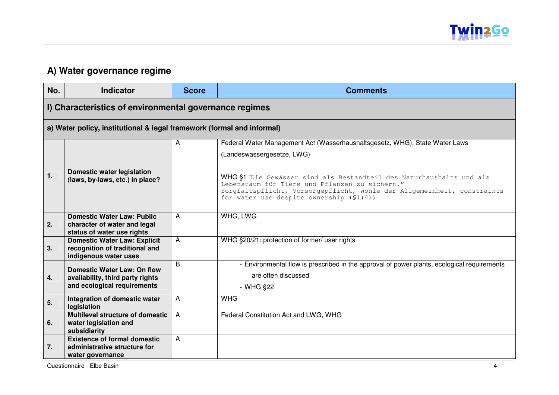

#### **A) Water governance regime**

| No. | <b>Indicator</b>                                                       | <b>Score</b>   | <b>Comments</b>                                                                                                                                                                                                                                |
|-----|------------------------------------------------------------------------|----------------|------------------------------------------------------------------------------------------------------------------------------------------------------------------------------------------------------------------------------------------------|
|     | I) Characteristics of environmental governance regimes                 |                |                                                                                                                                                                                                                                                |
|     | a) Water policy, institutional & legal framework (formal and informal) |                |                                                                                                                                                                                                                                                |
|     |                                                                        | Α              | Federal Water Management Act (Wasserhaushaltsgesetz, WHG), State Water Laws                                                                                                                                                                    |
|     |                                                                        |                | (Landeswassergesetze, LWG)                                                                                                                                                                                                                     |
| 1.  | <b>Domestic water legislation</b><br>(laws, by-laws, etc.) in place?   |                | WHG §1 "Die Gewässer sind als Bestandteil des Naturhaushalts und als<br>Lebensraum für Tiere und Pflanzen zu sichern."<br>Sorgfaltspflicht, Vorsorgepflicht, Wohle der Allgemeinheit, constraints<br>for water use despite ownership $(S1(4))$ |
|     | <b>Domestic Water Law: Public</b>                                      | $\overline{A}$ | WHG, LWG                                                                                                                                                                                                                                       |
| 2.  | character of water and legal                                           |                |                                                                                                                                                                                                                                                |
|     | status of water use rights<br><b>Domestic Water Law: Explicit</b>      | A              | WHG §20/21: protection of former/ user rights                                                                                                                                                                                                  |
| 3.  | recognition of traditional and                                         |                |                                                                                                                                                                                                                                                |
|     | indigenous water uses                                                  |                |                                                                                                                                                                                                                                                |
|     | <b>Domestic Water Law: On flow</b>                                     | B              | - Environmental flow is prescribed in the approval of power plants, ecological requirements                                                                                                                                                    |
| 4.  | availability, third party rights                                       |                | are often discussed                                                                                                                                                                                                                            |
|     | and ecological requirements                                            |                | - WHG §22                                                                                                                                                                                                                                      |
| 5.  | Integration of domestic water<br>legislation                           | A              | <b>WHG</b>                                                                                                                                                                                                                                     |
|     | <b>Multilevel structure of domestic</b>                                | $\overline{A}$ | Federal Constitution Act and LWG, WHG                                                                                                                                                                                                          |
| 6.  | water legislation and<br>subsidiarity                                  |                |                                                                                                                                                                                                                                                |
|     | <b>Existence of formal domestic</b>                                    | $\overline{A}$ |                                                                                                                                                                                                                                                |
| 7.  | administrative structure for                                           |                |                                                                                                                                                                                                                                                |
|     | water governance                                                       |                |                                                                                                                                                                                                                                                |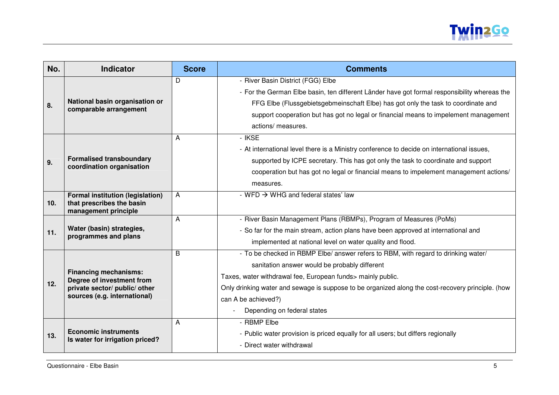

| No. | <b>Indicator</b>                                                                                                           | <b>Score</b> | <b>Comments</b>                                                                                                                                                                                                                                                                                                                                               |
|-----|----------------------------------------------------------------------------------------------------------------------------|--------------|---------------------------------------------------------------------------------------------------------------------------------------------------------------------------------------------------------------------------------------------------------------------------------------------------------------------------------------------------------------|
| 8.  | National basin organisation or<br>comparable arrangement                                                                   | D            | - River Basin District (FGG) Elbe<br>- For the German Elbe basin, ten different Länder have got formal responsibility whereas the<br>FFG Elbe (Flussgebietsgebmeinschaft Elbe) has got only the task to coordinate and<br>support cooperation but has got no legal or financial means to impelement management<br>actions/ measures.                          |
| 9.  | <b>Formalised transboundary</b><br>coordination organisation                                                               | A            | - IKSE<br>- At international level there is a Ministry conference to decide on international issues,<br>supported by ICPE secretary. This has got only the task to coordinate and support<br>cooperation but has got no legal or financial means to impelement management actions/<br>measures.                                                               |
| 10. | <b>Formal institution (legislation)</b><br>that prescribes the basin<br>management principle                               | A            | - WFD $\rightarrow$ WHG and federal states' law                                                                                                                                                                                                                                                                                                               |
| 11. | Water (basin) strategies,<br>programmes and plans                                                                          | A            | - River Basin Management Plans (RBMPs), Program of Measures (PoMs)<br>- So far for the main stream, action plans have been approved at international and<br>implemented at national level on water quality and flood.                                                                                                                                         |
| 12. | <b>Financing mechanisms:</b><br>Degree of investment from<br>private sector/ public/ other<br>sources (e.g. international) | B            | - To be checked in RBMP Elbe/ answer refers to RBM, with regard to drinking water/<br>sanitation answer would be probably different<br>Taxes, water withdrawal fee, European funds> mainly public.<br>Only drinking water and sewage is suppose to be organized along the cost-recovery principle. (how<br>can A be achieved?)<br>Depending on federal states |
| 13. | <b>Economic instruments</b><br>Is water for irrigation priced?                                                             | A            | - RBMP Elbe<br>- Public water provision is priced equally for all users; but differs regionally<br>- Direct water withdrawal                                                                                                                                                                                                                                  |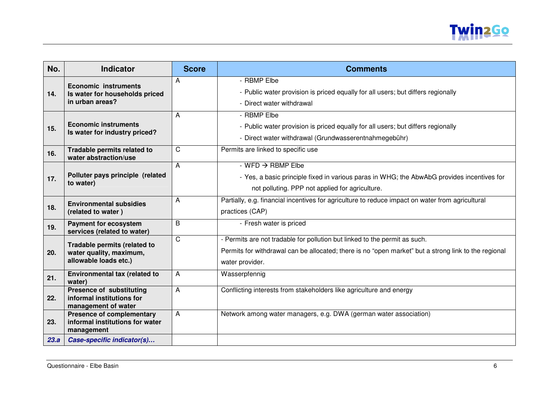

| No.  | <b>Indicator</b>                                 | <b>Score</b> | <b>Comments</b>                                                                                      |
|------|--------------------------------------------------|--------------|------------------------------------------------------------------------------------------------------|
|      | <b>Economic instruments</b>                      | A            | - RBMP Elbe                                                                                          |
| 14.  | Is water for households priced                   |              | - Public water provision is priced equally for all users; but differs regionally                     |
|      | in urban areas?                                  |              | - Direct water withdrawal                                                                            |
|      |                                                  | A            | - RBMP Elbe                                                                                          |
| 15.  | <b>Economic instruments</b>                      |              | - Public water provision is priced equally for all users; but differs regionally                     |
|      | Is water for industry priced?                    |              | - Direct water withdrawal (Grundwasserentnahmegebühr)                                                |
| 16.  | Tradable permits related to                      | $\mathsf{C}$ | Permits are linked to specific use                                                                   |
|      | water abstraction/use                            | A            | $-WFD \rightarrow RBMP Elbe$                                                                         |
|      | Polluter pays principle (related                 |              | - Yes, a basic principle fixed in various paras in WHG; the AbwAbG provides incentives for           |
| 17.  | to water)                                        |              |                                                                                                      |
|      |                                                  |              | not polluting. PPP not applied for agriculture.                                                      |
| 18.  | <b>Environmental subsidies</b>                   | A            | Partially, e.g. financial incentives for agriculture to reduce impact on water from agricultural     |
|      | (related to water)                               |              | practices (CAP)                                                                                      |
| 19.  | <b>Payment for ecosystem</b>                     | B            | - Fresh water is priced                                                                              |
|      | services (related to water)                      | $\mathsf{C}$ | - Permits are not tradable for pollution but linked to the permit as such.                           |
|      | Tradable permits (related to                     |              | Permits for withdrawal can be allocated; there is no "open market" but a strong link to the regional |
| 20.  | water quality, maximum,<br>allowable loads etc.) |              |                                                                                                      |
|      |                                                  |              | water provider.                                                                                      |
| 21.  | Environmental tax (related to<br>water)          | A            | Wasserpfennig                                                                                        |
|      | <b>Presence of substituting</b>                  | A            | Conflicting interests from stakeholders like agriculture and energy                                  |
| 22.  | informal institutions for<br>management of water |              |                                                                                                      |
|      | <b>Presence of complementary</b>                 | A            | Network among water managers, e.g. DWA (german water association)                                    |
| 23.  | informal institutions for water                  |              |                                                                                                      |
| 23.a | management<br>Case-specific indicator(s)         |              |                                                                                                      |
|      |                                                  |              |                                                                                                      |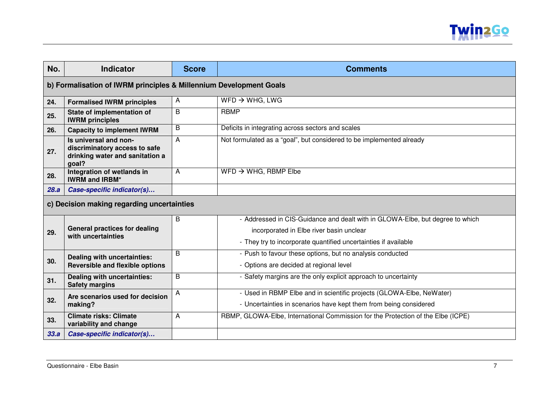

| No.                                                                | <b>Indicator</b>                                                                                   | <b>Score</b> | <b>Comments</b>                                                                                                                                                                              |
|--------------------------------------------------------------------|----------------------------------------------------------------------------------------------------|--------------|----------------------------------------------------------------------------------------------------------------------------------------------------------------------------------------------|
| b) Formalisation of IWRM principles & Millennium Development Goals |                                                                                                    |              |                                                                                                                                                                                              |
| 24.                                                                | <b>Formalised IWRM principles</b>                                                                  | A            | $WFD \rightarrow WHG$ , LWG                                                                                                                                                                  |
| 25.                                                                | State of implementation of<br><b>IWRM</b> principles                                               | B            | <b>RBMP</b>                                                                                                                                                                                  |
| 26.                                                                | <b>Capacity to implement IWRM</b>                                                                  | B            | Deficits in integrating across sectors and scales                                                                                                                                            |
| 27.                                                                | Is universal and non-<br>discriminatory access to safe<br>drinking water and sanitation a<br>goal? | A            | Not formulated as a "goal", but considered to be implemented already                                                                                                                         |
| 28.                                                                | Integration of wetlands in<br><b>IWRM and IRBM*</b>                                                | A            | $WFD \rightarrow WHG$ , RBMP Elbe                                                                                                                                                            |
| 28.a                                                               | Case-specific indicator(s)                                                                         |              |                                                                                                                                                                                              |
| c) Decision making regarding uncertainties                         |                                                                                                    |              |                                                                                                                                                                                              |
| 29.                                                                | <b>General practices for dealing</b><br>with uncertainties                                         | B            | - Addressed in CIS-Guidance and dealt with in GLOWA-Elbe, but degree to which<br>incorporated in Elbe river basin unclear<br>- They try to incorporate quantified uncertainties if available |
| 30.                                                                | Dealing with uncertainties:<br><b>Reversible and flexible options</b>                              | B            | - Push to favour these options, but no analysis conducted<br>- Options are decided at regional level                                                                                         |
| 31.                                                                | Dealing with uncertainties:<br><b>Safety margins</b>                                               | B            | - Safety margins are the only explicit approach to uncertainty                                                                                                                               |
| 32.                                                                | Are scenarios used for decision<br>making?                                                         | A            | - Used in RBMP Elbe and in scientific projects (GLOWA-Elbe, NeWater)<br>- Uncertainties in scenarios have kept them from being considered                                                    |
| 33.                                                                | <b>Climate risks: Climate</b><br>variability and change                                            | A            | RBMP, GLOWA-Elbe, International Commission for the Protection of the Elbe (ICPE)                                                                                                             |
| 33.a                                                               | Case-specific indicator(s)                                                                         |              |                                                                                                                                                                                              |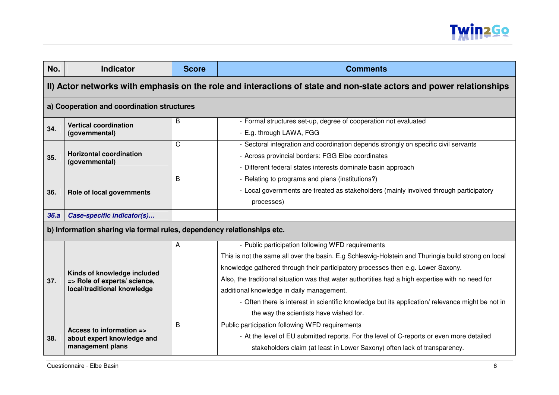

| No.                                                                    | <b>Indicator</b>                                                                                                    | <b>Score</b>                                                                                                                                                                                                                                                                                                                                                                                                                                                                                                                                       | <b>Comments</b>                                                                                                                                                                                                          |  |
|------------------------------------------------------------------------|---------------------------------------------------------------------------------------------------------------------|----------------------------------------------------------------------------------------------------------------------------------------------------------------------------------------------------------------------------------------------------------------------------------------------------------------------------------------------------------------------------------------------------------------------------------------------------------------------------------------------------------------------------------------------------|--------------------------------------------------------------------------------------------------------------------------------------------------------------------------------------------------------------------------|--|
|                                                                        | II) Actor networks with emphasis on the role and interactions of state and non-state actors and power relationships |                                                                                                                                                                                                                                                                                                                                                                                                                                                                                                                                                    |                                                                                                                                                                                                                          |  |
|                                                                        | a) Cooperation and coordination structures                                                                          |                                                                                                                                                                                                                                                                                                                                                                                                                                                                                                                                                    |                                                                                                                                                                                                                          |  |
| 34.                                                                    | <b>Vertical coordination</b><br>(governmental)                                                                      | B                                                                                                                                                                                                                                                                                                                                                                                                                                                                                                                                                  | - Formal structures set-up, degree of cooperation not evaluated<br>- E.g. through LAWA, FGG                                                                                                                              |  |
| 35.                                                                    | <b>Horizontal coordination</b><br>(governmental)                                                                    | $\mathsf{C}$                                                                                                                                                                                                                                                                                                                                                                                                                                                                                                                                       | - Sectoral integration and coordination depends strongly on specific civil servants<br>- Across provincial borders: FGG Elbe coordinates<br>- Different federal states interests dominate basin approach                 |  |
| 36.                                                                    | Role of local governments                                                                                           | B                                                                                                                                                                                                                                                                                                                                                                                                                                                                                                                                                  | - Relating to programs and plans (institutions?)<br>- Local governments are treated as stakeholders (mainly involved through participatory<br>processes)                                                                 |  |
| 36.a                                                                   | Case-specific indicator(s)                                                                                          |                                                                                                                                                                                                                                                                                                                                                                                                                                                                                                                                                    |                                                                                                                                                                                                                          |  |
| b) Information sharing via formal rules, dependency relationships etc. |                                                                                                                     |                                                                                                                                                                                                                                                                                                                                                                                                                                                                                                                                                    |                                                                                                                                                                                                                          |  |
| 37.                                                                    | Kinds of knowledge included<br>=> Role of experts/ science,<br>local/traditional knowledge                          | - Public participation following WFD requirements<br>A<br>This is not the same all over the basin. E.g Schleswig-Holstein and Thuringia build strong on local<br>knowledge gathered through their participatory processes then e.g. Lower Saxony.<br>Also, the traditional situation was that water authortities had a high expertise with no need for<br>additional knowledge in daily management.<br>- Often there is interest in scientific knowledge but its application/ relevance might be not in<br>the way the scientists have wished for. |                                                                                                                                                                                                                          |  |
| 38.                                                                    | Access to information =><br>about expert knowledge and<br>management plans                                          | B                                                                                                                                                                                                                                                                                                                                                                                                                                                                                                                                                  | Public participation following WFD requirements<br>- At the level of EU submitted reports. For the level of C-reports or even more detailed<br>stakeholders claim (at least in Lower Saxony) often lack of transparency. |  |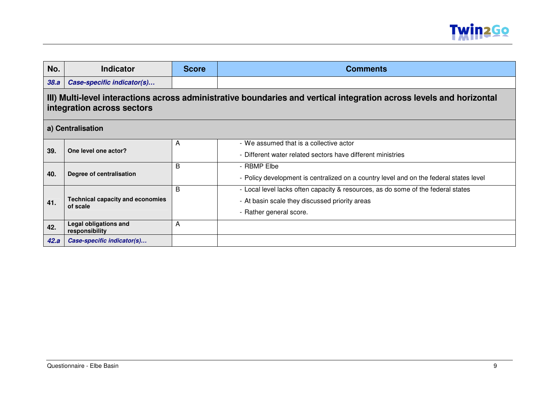

| No.  | <b>Indicator</b>                                                                                                                                   | <b>Score</b> | <b>Comments</b>                                                                                                                                               |  |
|------|----------------------------------------------------------------------------------------------------------------------------------------------------|--------------|---------------------------------------------------------------------------------------------------------------------------------------------------------------|--|
| 38.a | Case-specific indicator(s)                                                                                                                         |              |                                                                                                                                                               |  |
|      | III) Multi-level interactions across administrative boundaries and vertical integration across levels and horizontal<br>integration across sectors |              |                                                                                                                                                               |  |
|      | a) Centralisation                                                                                                                                  |              |                                                                                                                                                               |  |
| 39.  | One level one actor?                                                                                                                               | A            | - We assumed that is a collective actor<br>- Different water related sectors have different ministries                                                        |  |
| 40.  | Degree of centralisation                                                                                                                           | B            | - RBMP Elbe<br>- Policy development is centralized on a country level and on the federal states level                                                         |  |
| 41.  | <b>Technical capacity and economies</b><br>of scale                                                                                                | B            | - Local level lacks often capacity & resources, as do some of the federal states<br>- At basin scale they discussed priority areas<br>- Rather general score. |  |
| 42.  | <b>Legal obligations and</b><br>responsibility                                                                                                     | A            |                                                                                                                                                               |  |
| 42.a | Case-specific indicator(s)                                                                                                                         |              |                                                                                                                                                               |  |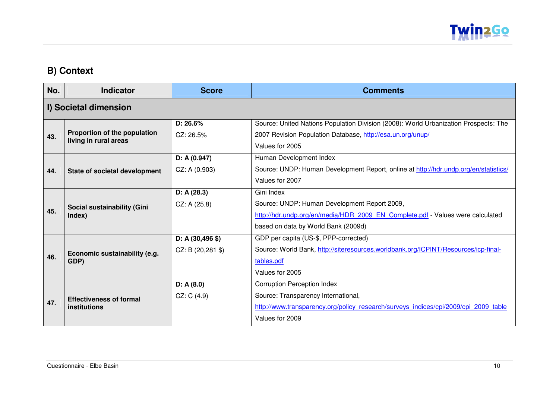

### **B) Context**

| No. | <b>Indicator</b>                                      | <b>Score</b>      | <b>Comments</b>                                                                      |
|-----|-------------------------------------------------------|-------------------|--------------------------------------------------------------------------------------|
|     | I) Societal dimension                                 |                   |                                                                                      |
|     |                                                       | D: 26.6%          | Source: United Nations Population Division (2008): World Urbanization Prospects: The |
| 43. | Proportion of the population<br>living in rural areas | CZ: 26.5%         | 2007 Revision Population Database, http://esa.un.org/unup/                           |
|     |                                                       |                   | Values for 2005                                                                      |
|     |                                                       | D: A(0.947)       | Human Development Index                                                              |
| 44. | State of societal development                         | CZ: A (0.903)     | Source: UNDP: Human Development Report, online at http://hdr.undp.org/en/statistics/ |
|     |                                                       |                   | Values for 2007                                                                      |
|     |                                                       | D: A(28.3)        | Gini Index                                                                           |
|     | Social sustainability (Gini                           | CZ: A(25.8)       | Source: UNDP: Human Development Report 2009,                                         |
| 45. | Index)                                                |                   | http://hdr.undp.org/en/media/HDR 2009 EN Complete.pdf - Values were calculated       |
|     |                                                       |                   | based on data by World Bank (2009d)                                                  |
|     |                                                       | $D: A(30, 496 \$  | GDP per capita (US-\$, PPP-corrected)                                                |
|     | Economic sustainability (e.g.                         | $CZ: B(20, 281 \$ | Source: World Bank, http://siteresources.worldbank.org/ICPINT/Resources/icp-final-   |
| 46. | GDP)                                                  |                   | tables.pdf                                                                           |
|     |                                                       |                   | Values for 2005                                                                      |
|     |                                                       | D: A(8.0)         | <b>Corruption Perception Index</b>                                                   |
|     | <b>Effectiveness of formal</b>                        | CZ: C(4.9)        | Source: Transparency International,                                                  |
| 47. | institutions                                          |                   | http://www.transparency.org/policy research/surveys indices/cpi/2009/cpi 2009 table  |
|     |                                                       |                   | Values for 2009                                                                      |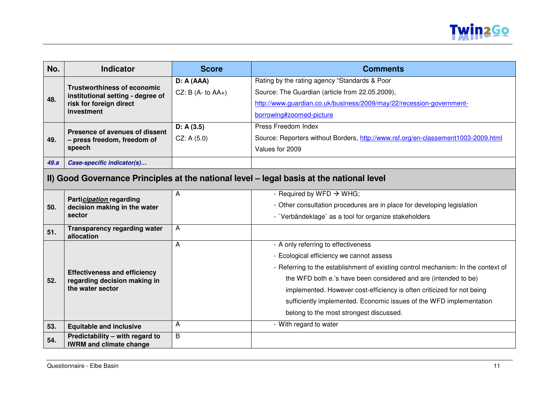

| No.  | <b>Indicator</b>                                                                         | <b>Score</b>         | <b>Comments</b>                                                                   |  |  |
|------|------------------------------------------------------------------------------------------|----------------------|-----------------------------------------------------------------------------------|--|--|
|      |                                                                                          | D: A(AAA)            | Rating by the rating agency "Standards & Poor                                     |  |  |
|      | <b>Trustworthiness of economic</b><br>institutional setting - degree of                  | CZ: B $(A - to AA+)$ | Source: The Guardian (article from 22.05.2009),                                   |  |  |
| 48.  | risk for foreign direct                                                                  |                      | http://www.guardian.co.uk/business/2009/may/22/recession-government-              |  |  |
|      | investment                                                                               |                      | borrowing#zoomed-picture                                                          |  |  |
|      | Presence of avenues of dissent                                                           | D: A(3.5)            | Press Freedom Index                                                               |  |  |
| 49.  | - press freedom, freedom of                                                              | CZ: A(5.0)           | Source: Reporters without Borders, http://www.rsf.org/en-classement1003-2009.html |  |  |
|      | speech                                                                                   |                      | Values for 2009                                                                   |  |  |
| 49.a | Case-specific indicator(s)                                                               |                      |                                                                                   |  |  |
|      | II) Good Governance Principles at the national level - legal basis at the national level |                      |                                                                                   |  |  |
|      | <b>Participation regarding</b>                                                           | A                    | - Required by WFD $\rightarrow$ WHG;                                              |  |  |
| 50.  | decision making in the water<br>sector                                                   |                      | - Other consultation procedures are in place for developing legislation           |  |  |
|      |                                                                                          |                      | - `Verbändeklage` as a tool for organize stakeholders                             |  |  |
| 51.  | <b>Transparency regarding water</b><br>allocation                                        | A                    |                                                                                   |  |  |
|      |                                                                                          | A                    | - A only referring to effectiveness                                               |  |  |
|      |                                                                                          |                      | - Ecological efficiency we cannot assess                                          |  |  |
|      | <b>Effectiveness and efficiency</b>                                                      |                      | - Referring to the establishment of existing control mechanism: In the context of |  |  |
| 52.  | regarding decision making in                                                             |                      | the WFD both e.'s have been considered and are (intended to be)                   |  |  |
|      | the water sector                                                                         |                      | implemented. However cost-efficiency is often criticized for not being            |  |  |
|      |                                                                                          |                      | sufficiently implemented. Economic issues of the WFD implementation               |  |  |
|      |                                                                                          |                      | belong to the most strongest discussed.                                           |  |  |
| 53.  | <b>Equitable and inclusive</b>                                                           | A                    | - With regard to water                                                            |  |  |
| 54.  | Predictability - with regard to<br><b>IWRM and climate change</b>                        | B                    |                                                                                   |  |  |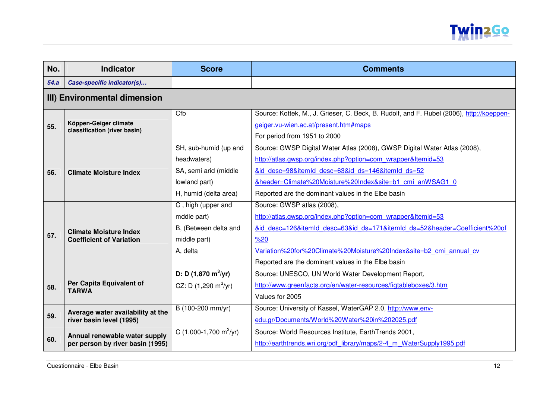

| No.  | <b>Indicator</b>                                                 | <b>Score</b>                            | <b>Comments</b>                                                                          |
|------|------------------------------------------------------------------|-----------------------------------------|------------------------------------------------------------------------------------------|
| 54.a | Case-specific indicator(s)                                       |                                         |                                                                                          |
|      | III) Environmental dimension                                     |                                         |                                                                                          |
|      |                                                                  | Cfb                                     | Source: Kottek, M., J. Grieser, C. Beck, B. Rudolf, and F. Rubel (2006), http://koeppen- |
| 55.  | Köppen-Geiger climate<br>classification (river basin)            |                                         | geiger.vu-wien.ac.at/present.htm#maps                                                    |
|      |                                                                  |                                         | For period from 1951 to 2000                                                             |
|      |                                                                  | SH, sub-humid (up and                   | Source: GWSP Digital Water Atlas (2008), GWSP Digital Water Atlas (2008),                |
|      |                                                                  | headwaters)                             | http://atlas.gwsp.org/index.php?option=com wrapper&Itemid=53                             |
| 56.  | <b>Climate Moisture Index</b>                                    | SA, semi arid (middle                   | &id desc=98&itemId desc=63&id ds=146&itemId ds=52                                        |
|      |                                                                  | lowland part)                           | &header=Climate%20Moisture%20Index&site=b1 cmi anWSAG1 0                                 |
|      |                                                                  | H, humid (delta area)                   | Reported are the dominant values in the Elbe basin                                       |
|      | <b>Climate Moisture Index</b><br><b>Coefficient of Variation</b> | C, high (upper and                      | Source: GWSP atlas (2008),                                                               |
|      |                                                                  | mddle part)                             | http://atlas.gwsp.org/index.php?option=com_wrapper&Itemid=53                             |
|      |                                                                  | B, (Between delta and                   | &id desc=126&itemId desc=63&id ds=171&itemId ds=52&header=Coefficient%20of               |
| 57.  |                                                                  | middle part)                            | %20                                                                                      |
|      |                                                                  | A, delta                                | Variation%20for%20Climate%20Moisture%20Index&site=b2 cmi annual cv                       |
|      |                                                                  |                                         | Reported are the dominant values in the Elbe basin                                       |
|      |                                                                  | D: D $(1,870 \text{ m}^3/\text{yr})$    | Source: UNESCO, UN World Water Development Report,                                       |
| 58.  | Per Capita Equivalent of<br><b>TARWA</b>                         | CZ: D $(1,290 \text{ m}^3/\text{yr})$   | http://www.greenfacts.org/en/water-resources/figtableboxes/3.htm                         |
|      |                                                                  |                                         | Values for 2005                                                                          |
|      | Average water availability at the                                | B (100-200 mm/yr)                       | Source: University of Kassel, WaterGAP 2.0, http://www.env-                              |
| 59.  | river basin level (1995)                                         |                                         | edu.gr/Documents/World%20Water%20in%202025.pdf                                           |
|      | Annual renewable water supply                                    | C $(1,000-1,700 \text{ m}^3/\text{yr})$ | Source: World Resources Institute, EarthTrends 2001,                                     |
| 60.  | per person by river basin (1995)                                 |                                         | http://earthtrends.wri.org/pdf library/maps/2-4 m WaterSupply1995.pdf                    |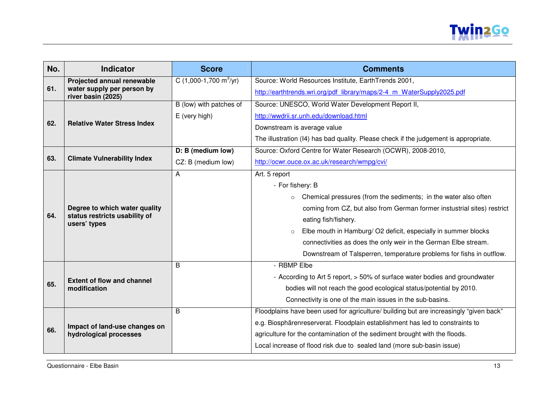

| No.               | <b>Indicator</b>                                                   | <b>Score</b>                            | <b>Comments</b>                                                                        |
|-------------------|--------------------------------------------------------------------|-----------------------------------------|----------------------------------------------------------------------------------------|
| 61.               | Projected annual renewable<br>water supply per person by           | C $(1,000-1,700 \text{ m}^3/\text{yr})$ | Source: World Resources Institute, EarthTrends 2001,                                   |
|                   | river basin (2025)                                                 |                                         | http://earthtrends.wri.org/pdf library/maps/2-4 m WaterSupply2025.pdf                  |
|                   |                                                                    | B (low) with patches of                 | Source: UNESCO, World Water Development Report II,                                     |
|                   | <b>Relative Water Stress Index</b>                                 | E (very high)                           | http://wwdrii.sr.unh.edu/download.html                                                 |
| 62.               |                                                                    |                                         | Downstream is average value                                                            |
|                   |                                                                    |                                         | The illustration (I4) has bad quality. Please check if the judgement is appropriate.   |
|                   |                                                                    | D: B (medium low)                       | Source: Oxford Centre for Water Research (OCWR), 2008-2010,                            |
| 63.               | <b>Climate Vulnerability Index</b>                                 | CZ: B (medium low)                      | http://ocwr.ouce.ox.ac.uk/research/wmpq/cvi/                                           |
|                   |                                                                    | A                                       | Art. 5 report                                                                          |
|                   |                                                                    |                                         | - For fishery: B                                                                       |
|                   |                                                                    |                                         | Chemical pressures (from the sediments; in the water also often<br>$\circ$             |
|                   | Degree to which water quality                                      |                                         | coming from CZ, but also from German former instustrial sites) restrict                |
|                   | status restricts usability of<br>users' types                      |                                         | eating fish/fishery.                                                                   |
|                   |                                                                    |                                         | Elbe mouth in Hamburg/ O2 deficit, especially in summer blocks<br>$\circ$              |
|                   |                                                                    |                                         | connectivities as does the only weir in the German Elbe stream.                        |
|                   |                                                                    |                                         | Downstream of Talsperren, temperature problems for fishs in outflow.                   |
|                   |                                                                    | B                                       | - RBMP Elbe                                                                            |
|                   |                                                                    |                                         | - According to Art 5 report, > 50% of surface water bodies and groundwater             |
|                   | modification                                                       |                                         | bodies will not reach the good ecological status/potential by 2010.                    |
|                   |                                                                    |                                         | Connectivity is one of the main issues in the sub-basins.                              |
|                   |                                                                    | B                                       | Floodplains have been used for agriculture/ building but are increasingly "given back" |
|                   |                                                                    |                                         | e.g. Biosphärenreserverat. Floodplain establishment has led to constraints to          |
|                   | hydrological processes                                             |                                         | agriculture for the contamination of the sediment brought with the floods.             |
|                   |                                                                    |                                         | Local increase of flood risk due to sealed land (more sub-basin issue)                 |
| 64.<br>65.<br>66. | <b>Extent of flow and channel</b><br>Impact of land-use changes on |                                         |                                                                                        |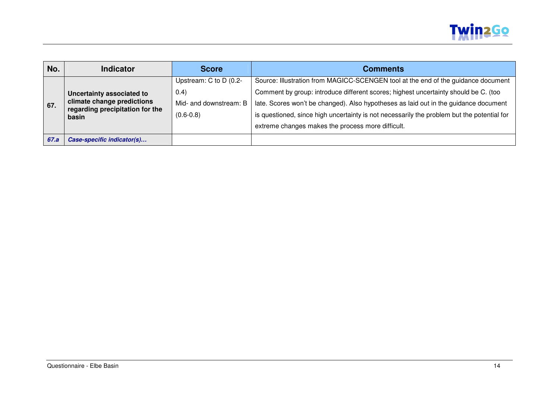

| No.  | <b>Indicator</b>                                                                                    | <b>Score</b>           | <b>Comments</b>                                                                            |
|------|-----------------------------------------------------------------------------------------------------|------------------------|--------------------------------------------------------------------------------------------|
|      | Uncertainty associated to<br>climate change predictions<br>regarding precipitation for the<br>basin | Upstream: C to D (0.2- | Source: Illustration from MAGICC-SCENGEN tool at the end of the guidance document          |
|      |                                                                                                     | (0.4)                  | Comment by group: introduce different scores; highest uncertainty should be C. (too        |
| 67.  |                                                                                                     | Mid- and downstream: B | late. Scores won't be changed). Also hypotheses as laid out in the guidance document       |
|      |                                                                                                     | $(0.6 - 0.8)$          | is questioned, since high uncertainty is not necessarily the problem but the potential for |
|      |                                                                                                     |                        | extreme changes makes the process more difficult.                                          |
| 67.a | Case-specific indicator(s)                                                                          |                        |                                                                                            |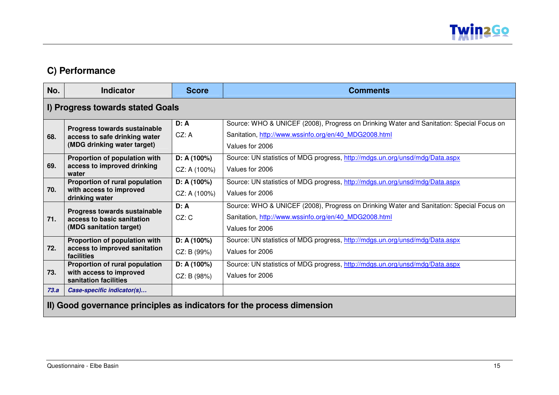

### **C) Performance**

| No.  | <b>Indicator</b>                                                                             | <b>Score</b>               | <b>Comments</b>                                                                                                                                                      |  |  |
|------|----------------------------------------------------------------------------------------------|----------------------------|----------------------------------------------------------------------------------------------------------------------------------------------------------------------|--|--|
|      | I) Progress towards stated Goals                                                             |                            |                                                                                                                                                                      |  |  |
| 68.  | Progress towards sustainable<br>access to safe drinking water<br>(MDG drinking water target) | D: A<br>CZ: A              | Source: WHO & UNICEF (2008), Progress on Drinking Water and Sanitation: Special Focus on<br>Sanitation, http://www.wssinfo.org/en/40 MDG2008.html<br>Values for 2006 |  |  |
| 69.  | Proportion of population with<br>access to improved drinking<br>water                        | D: A(100%)<br>CZ: A (100%) | Source: UN statistics of MDG progress, http://mdgs.un.org/unsd/mdg/Data.aspx<br>Values for 2006                                                                      |  |  |
| 70.  | Proportion of rural population<br>with access to improved<br>drinking water                  | D: A(100%)<br>CZ: A (100%) | Source: UN statistics of MDG progress, http://mdgs.un.org/unsd/mdg/Data.aspx<br>Values for 2006                                                                      |  |  |
| 71.  | Progress towards sustainable<br>access to basic sanitation<br>(MDG sanitation target)        | D: A<br>CZ: C              | Source: WHO & UNICEF (2008), Progress on Drinking Water and Sanitation: Special Focus on<br>Sanitation, http://www.wssinfo.org/en/40 MDG2008.html<br>Values for 2006 |  |  |
| 72.  | Proportion of population with<br>access to improved sanitation<br>facilities                 | D: A(100%)<br>CZ: B (99%)  | Source: UN statistics of MDG progress, http://mdgs.un.org/unsd/mdg/Data.aspx<br>Values for 2006                                                                      |  |  |
| 73.  | Proportion of rural population<br>with access to improved<br>sanitation facilities           | D: A(100%)<br>CZ: B (98%)  | Source: UN statistics of MDG progress, http://mdgs.un.org/unsd/mdg/Data.aspx<br>Values for 2006                                                                      |  |  |
| 73.a | Case-specific indicator(s)                                                                   |                            |                                                                                                                                                                      |  |  |
|      | II) Good governance principles as indicators for the process dimension                       |                            |                                                                                                                                                                      |  |  |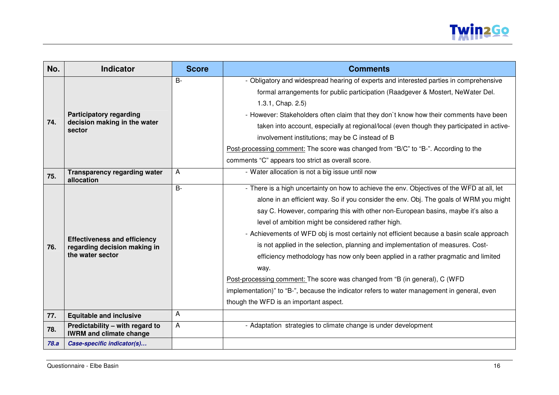

| No.  | <b>Indicator</b>                                                                        | <b>Score</b>   | <b>Comments</b>                                                                             |
|------|-----------------------------------------------------------------------------------------|----------------|---------------------------------------------------------------------------------------------|
|      | <b>Participatory regarding</b>                                                          | $B -$          | - Obligatory and widespread hearing of experts and interested parties in comprehensive      |
|      |                                                                                         |                | formal arrangements for public participation (Raadgever & Mostert, NeWater Del.             |
|      |                                                                                         |                | 1.3.1, Chap. 2.5)                                                                           |
|      |                                                                                         |                | - However: Stakeholders often claim that they don't know how their comments have been       |
| 74.  | decision making in the water<br>sector                                                  |                | taken into account, especially at regional/local (even though they participated in active-  |
|      |                                                                                         |                | involvement institutions; may be C instead of B                                             |
|      |                                                                                         |                | Post-processing comment: The score was changed from "B/C" to "B-". According to the         |
|      |                                                                                         |                | comments "C" appears too strict as overall score.                                           |
| 75.  | <b>Transparency regarding water</b><br>allocation                                       | A              | - Water allocation is not a big issue until now                                             |
|      |                                                                                         | $\overline{B}$ | - There is a high uncertainty on how to achieve the env. Objectives of the WFD at all, let  |
|      |                                                                                         |                | alone in an efficient way. So if you consider the env. Obj. The goals of WRM you might      |
|      | <b>Effectiveness and efficiency</b><br>regarding decision making in<br>the water sector |                | say C. However, comparing this with other non-European basins, maybe it's also a            |
|      |                                                                                         |                | level of ambition might be considered rather high.                                          |
|      |                                                                                         |                | - Achievements of WFD obj is most certainly not efficient because a basin scale approach    |
| 76.  |                                                                                         |                | is not applied in the selection, planning and implementation of measures. Cost-             |
|      |                                                                                         |                | efficiency methodology has now only been applied in a rather pragmatic and limited          |
|      |                                                                                         |                | way.                                                                                        |
|      |                                                                                         |                | Post-processing comment: The score was changed from "B (in general), C (WFD                 |
|      |                                                                                         |                | implementation)" to "B-", because the indicator refers to water management in general, even |
|      |                                                                                         |                | though the WFD is an important aspect.                                                      |
| 77.  | <b>Equitable and inclusive</b>                                                          | A              |                                                                                             |
| 78.  | Predictability - with regard to<br><b>IWRM and climate change</b>                       | A              | - Adaptation strategies to climate change is under development                              |
| 78.a | Case-specific indicator(s)                                                              |                |                                                                                             |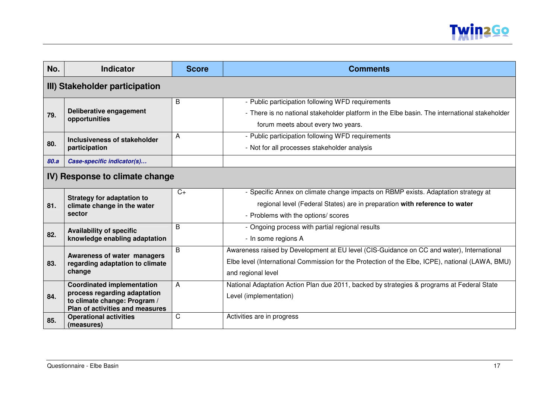

| No.  | <b>Indicator</b>                                                                                                                     | <b>Score</b> | <b>Comments</b>                                                                                                                                                                                                     |  |  |
|------|--------------------------------------------------------------------------------------------------------------------------------------|--------------|---------------------------------------------------------------------------------------------------------------------------------------------------------------------------------------------------------------------|--|--|
|      | III) Stakeholder participation                                                                                                       |              |                                                                                                                                                                                                                     |  |  |
| 79.  | Deliberative engagement<br>opportunities                                                                                             | B            | - Public participation following WFD requirements<br>- There is no national stakeholder platform in the Elbe basin. The international stakeholder<br>forum meets about every two years.                             |  |  |
| 80.  | Inclusiveness of stakeholder<br>participation                                                                                        | A            | - Public participation following WFD requirements<br>- Not for all processes stakeholder analysis                                                                                                                   |  |  |
| 80.a | Case-specific indicator(s)                                                                                                           |              |                                                                                                                                                                                                                     |  |  |
|      | IV) Response to climate change                                                                                                       |              |                                                                                                                                                                                                                     |  |  |
| 81.  | <b>Strategy for adaptation to</b><br>climate change in the water<br>sector                                                           | $C+$         | - Specific Annex on climate change impacts on RBMP exists. Adaptation strategy at<br>regional level (Federal States) are in preparation with reference to water<br>- Problems with the options/ scores              |  |  |
| 82.  | <b>Availability of specific</b><br>knowledge enabling adaptation                                                                     | B            | - Ongoing process with partial regional results<br>- In some regions A                                                                                                                                              |  |  |
| 83.  | Awareness of water managers<br>regarding adaptation to climate<br>change                                                             | B            | Awareness raised by Development at EU level (CIS-Guidance on CC and water), International<br>Elbe level (International Commission for the Protection of the Elbe, ICPE), national (LAWA, BMU)<br>and regional level |  |  |
| 84.  | <b>Coordinated implementation</b><br>process regarding adaptation<br>to climate change: Program /<br>Plan of activities and measures | A            | National Adaptation Action Plan due 2011, backed by strategies & programs at Federal State<br>Level (implementation)                                                                                                |  |  |
| 85.  | <b>Operational activities</b><br>(measures)                                                                                          | C            | Activities are in progress                                                                                                                                                                                          |  |  |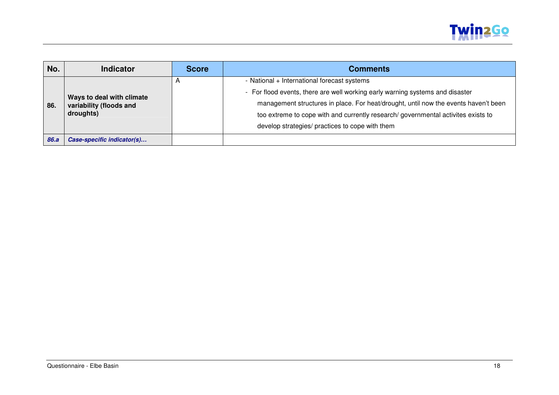

| No.  | <b>Indicator</b>                                                  | <b>Score</b> | <b>Comments</b>                                                                     |
|------|-------------------------------------------------------------------|--------------|-------------------------------------------------------------------------------------|
|      | Ways to deal with climate<br>variability (floods and<br>droughts) |              | - National + International forecast systems                                         |
|      |                                                                   |              | - For flood events, there are well working early warning systems and disaster       |
| 86.  |                                                                   |              | management structures in place. For heat/drought, until now the events haven't been |
|      |                                                                   |              | too extreme to cope with and currently research/governmental activites exists to    |
|      |                                                                   |              | develop strategies/ practices to cope with them                                     |
| 86.a | Case-specific indicator(s)                                        |              |                                                                                     |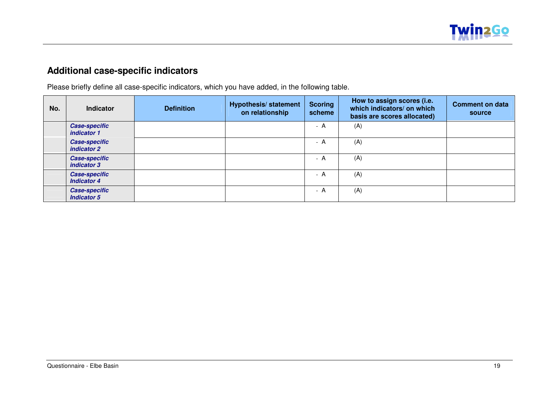

## **Additional case-specific indicators**

Please briefly define all case-specific indicators, which you have added, in the following table.

| No. | <b>Indicator</b>                           | <b>Definition</b> | <b>Hypothesis/statement</b><br>on relationship | <b>Scoring</b><br>scheme | How to assign scores (i.e.<br>which indicators/ on which<br>basis are scores allocated) | <b>Comment on data</b><br>source |
|-----|--------------------------------------------|-------------------|------------------------------------------------|--------------------------|-----------------------------------------------------------------------------------------|----------------------------------|
|     | <b>Case-specific</b><br>indicator 1        |                   |                                                | - A                      | (A)                                                                                     |                                  |
|     | <b>Case-specific</b><br>indicator 2        |                   |                                                | - A                      | (A)                                                                                     |                                  |
|     | <b>Case-specific</b><br>indicator 3        |                   |                                                | - A                      | (A)                                                                                     |                                  |
|     | <b>Case-specific</b><br><b>Indicator 4</b> |                   |                                                | - A                      | (A)                                                                                     |                                  |
|     | <b>Case-specific</b><br><b>Indicator 5</b> |                   |                                                | - A                      | (A)                                                                                     |                                  |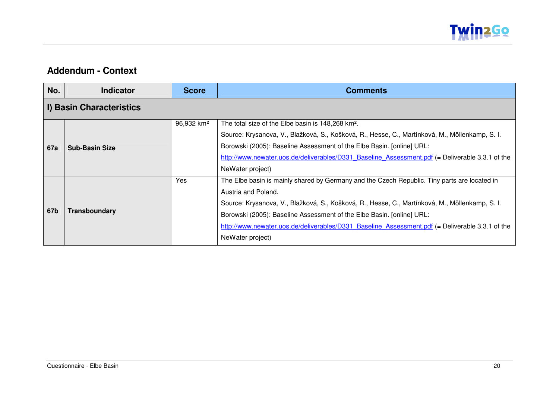

#### **Addendum - Context**

| No.        | Indicator                | <b>Score</b>           | <b>Comments</b>                                                                                 |  |  |  |
|------------|--------------------------|------------------------|-------------------------------------------------------------------------------------------------|--|--|--|
|            | I) Basin Characteristics |                        |                                                                                                 |  |  |  |
|            |                          | 96,932 km <sup>2</sup> | The total size of the Elbe basin is 148,268 km <sup>2</sup> .                                   |  |  |  |
|            |                          |                        | Source: Krysanova, V., Blažková, S., Košková, R., Hesse, C., Martínková, M., Möllenkamp, S. I.  |  |  |  |
| <b>67a</b> | <b>Sub-Basin Size</b>    |                        | Borowski (2005): Baseline Assessment of the Elbe Basin. [online] URL:                           |  |  |  |
|            |                          |                        | http://www.newater.uos.de/deliverables/D331 Baseline Assessment.pdf (= Deliverable 3.3.1 of the |  |  |  |
|            |                          |                        | NeWater project)                                                                                |  |  |  |
|            | Transboundary            | Yes                    | The Elbe basin is mainly shared by Germany and the Czech Republic. Tiny parts are located in    |  |  |  |
| 67b        |                          |                        | Austria and Poland.                                                                             |  |  |  |
|            |                          |                        | Source: Krysanova, V., Blažková, S., Košková, R., Hesse, C., Martínková, M., Möllenkamp, S. I.  |  |  |  |
|            |                          |                        | Borowski (2005): Baseline Assessment of the Elbe Basin. [online] URL:                           |  |  |  |
|            |                          |                        | http://www.newater.uos.de/deliverables/D331 Baseline Assessment.pdf (= Deliverable 3.3.1 of the |  |  |  |
|            |                          |                        | NeWater project)                                                                                |  |  |  |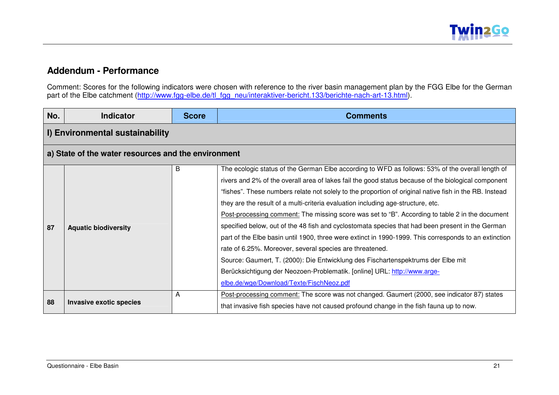#### **Addendum - Performance**

Comment: Scores for the following indicators were chosen with reference to the river basin management plan by the FGG Elbe for the German<br>part of the Elbe catchment (<u>http://www.fgg-elbe.de/tl\_fgg\_neu/interaktiver-bericht.</u>

| No. | <b>Indicator</b>                                    | <b>Score</b> | <b>Comments</b>                                                                                        |  |  |  |
|-----|-----------------------------------------------------|--------------|--------------------------------------------------------------------------------------------------------|--|--|--|
|     | I) Environmental sustainability                     |              |                                                                                                        |  |  |  |
|     | a) State of the water resources and the environment |              |                                                                                                        |  |  |  |
|     |                                                     | B            | The ecologic status of the German Elbe according to WFD as follows: 53% of the overall length of       |  |  |  |
|     |                                                     |              | rivers and 2% of the overall area of lakes fail the good status because of the biological component    |  |  |  |
|     |                                                     |              | "fishes". These numbers relate not solely to the proportion of original native fish in the RB. Instead |  |  |  |
|     |                                                     |              | they are the result of a multi-criteria evaluation including age-structure, etc.                       |  |  |  |
|     | <b>Aquatic biodiversity</b>                         |              | Post-processing comment: The missing score was set to "B". According to table 2 in the document        |  |  |  |
| 87  |                                                     |              | specified below, out of the 48 fish and cyclostomata species that had been present in the German       |  |  |  |
|     |                                                     |              | part of the Elbe basin until 1900, three were extinct in 1990-1999. This corresponds to an extinction  |  |  |  |
|     |                                                     |              | rate of 6.25%. Moreover, several species are threatened.                                               |  |  |  |
|     |                                                     |              | Source: Gaumert, T. (2000): Die Entwicklung des Fischartenspektrums der Elbe mit                       |  |  |  |
|     |                                                     |              | Berücksichtigung der Neozoen-Problematik. [online] URL: http://www.arge-                               |  |  |  |
|     |                                                     |              | elbe.de/wge/Download/Texte/FischNeoz.pdf                                                               |  |  |  |
|     | Invasive exotic species                             | A            | Post-processing comment: The score was not changed. Gaumert (2000, see indicator 87) states            |  |  |  |
| 88  |                                                     |              | that invasive fish species have not caused profound change in the fish fauna up to now.                |  |  |  |